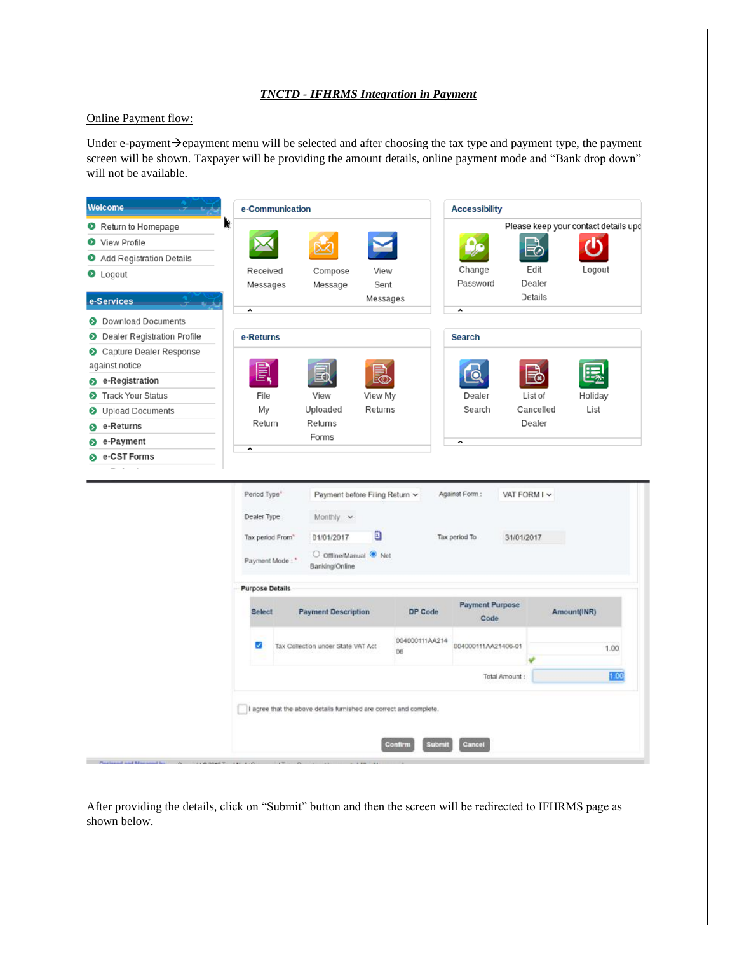## *TNCTD - IFHRMS Integration in Payment*

## Online Payment flow:

Under e-payment→epayment menu will be selected and after choosing the tax type and payment type, the payment screen will be shown. Taxpayer will be providing the amount details, online payment mode and "Bank drop down" will not be available.



After providing the details, click on "Submit" button and then the screen will be redirected to IFHRMS page as shown below.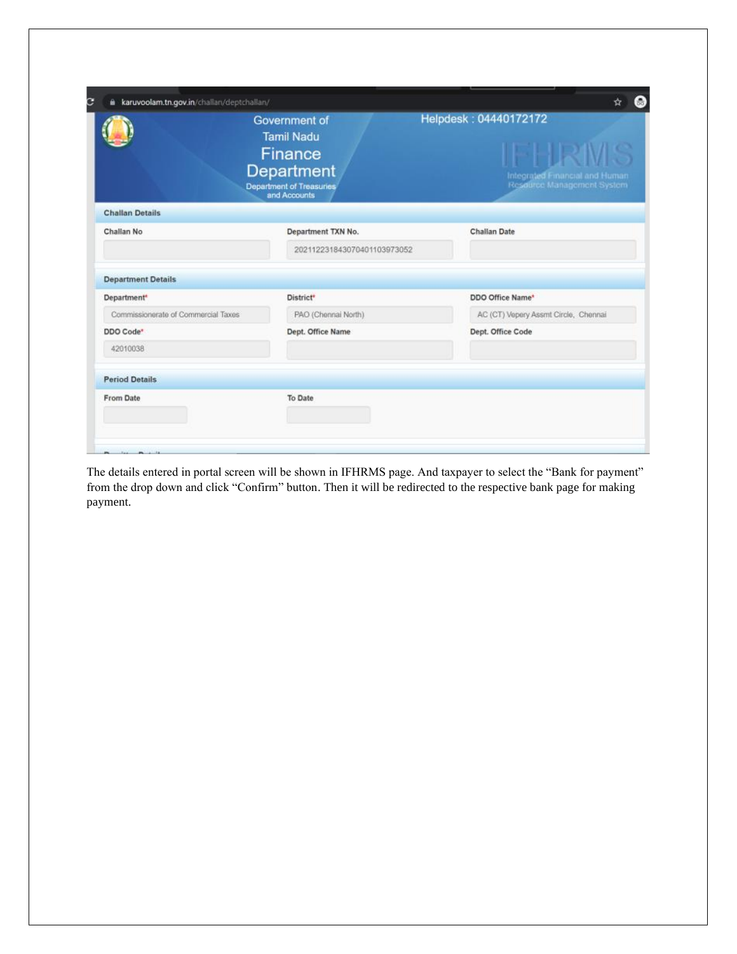|                                     | Government of<br><b>Tamil Nadu</b><br>Finance<br>Department<br><b>Department of Treasuries</b><br>and Accounts | Helpdesk: 04440172172<br>FHRIVI<br>Integrated Emancial and Human<br>Resdurce Management System |
|-------------------------------------|----------------------------------------------------------------------------------------------------------------|------------------------------------------------------------------------------------------------|
| <b>Challan Details</b>              |                                                                                                                |                                                                                                |
| Challan No.                         | Department TXN No.                                                                                             | <b>Challan Date</b>                                                                            |
|                                     | 202112231843070401103973052                                                                                    |                                                                                                |
| <b>Department Details</b>           |                                                                                                                |                                                                                                |
| Department <sup>*</sup>             | District*                                                                                                      | DDO Office Name*                                                                               |
| Commissionerate of Commercial Taxes | PAO (Chennai North)                                                                                            | AC (CT) Vepery Assmt Circle, Chennai                                                           |
| DDO Code*                           | Dept. Office Name                                                                                              | Dept. Office Code                                                                              |
| 42010038                            |                                                                                                                |                                                                                                |
| <b>Period Details</b>               |                                                                                                                |                                                                                                |
|                                     | To Date                                                                                                        |                                                                                                |

The details entered in portal screen will be shown in IFHRMS page. And taxpayer to select the "Bank for payment" from the drop down and click "Confirm" button. Then it will be redirected to the respective bank page for making payment.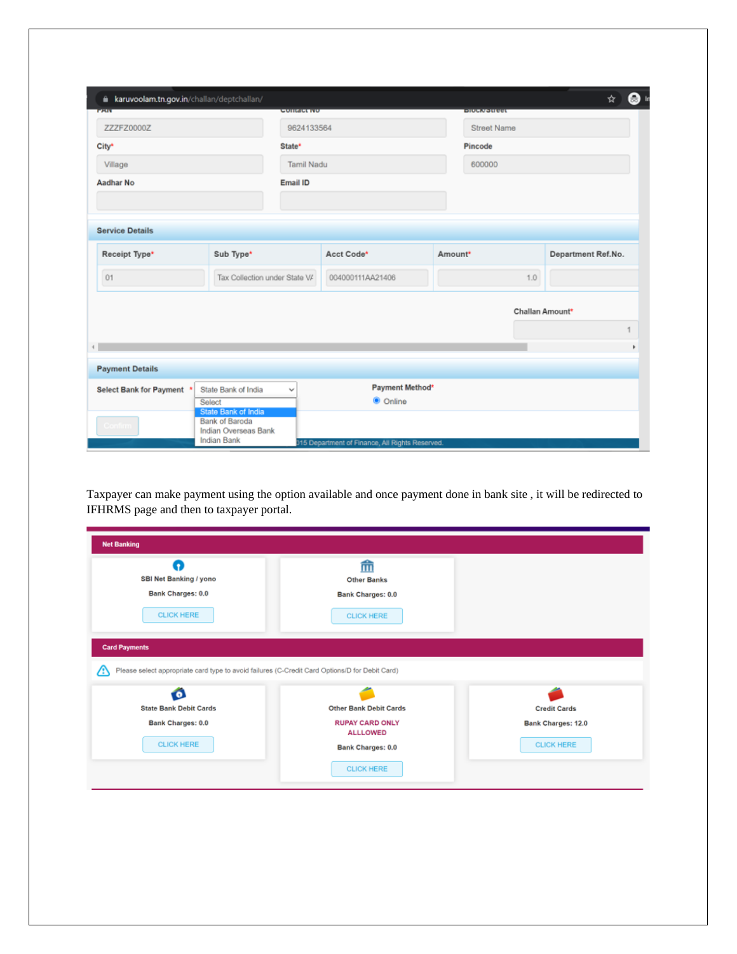| ۵<br><b>PART</b>            | karuvoolam.tn.gov.in/challan/deptchallan/                            | <b>GUIRACE IVO</b> |                 | <b>ENUCAYOUTER</b> |                 | ☆                  |
|-----------------------------|----------------------------------------------------------------------|--------------------|-----------------|--------------------|-----------------|--------------------|
| ZZZFZ0000Z                  |                                                                      | 9624133564         |                 | <b>Street Name</b> |                 |                    |
| City*<br>State <sup>*</sup> |                                                                      |                    |                 | Pincode            |                 |                    |
| Village                     |                                                                      | <b>Tamil Nadu</b>  |                 | 600000             |                 |                    |
| <b>Aadhar No</b>            | Email ID                                                             |                    |                 |                    |                 |                    |
|                             |                                                                      |                    |                 |                    |                 |                    |
| <b>Service Details</b>      |                                                                      |                    |                 |                    |                 |                    |
| Receipt Type*               | Sub Type*                                                            |                    | Acct Code*      | Amount*            |                 | Department Ref.No. |
| 01                          | Tax Collection under State V/                                        | 004000111AA21406   |                 |                    | 1.0             |                    |
|                             |                                                                      |                    |                 |                    | Challan Amount* |                    |
|                             |                                                                      |                    |                 |                    |                 |                    |
| $\leftarrow$                |                                                                      |                    |                 |                    |                 |                    |
| <b>Payment Details</b>      |                                                                      |                    |                 |                    |                 |                    |
| Select Bank for Payment *   | State Bank of India                                                  | $\checkmark$       | Payment Method* |                    |                 |                    |
|                             | Select                                                               |                    | C Online        |                    |                 |                    |
| Confirm i                   | State Bank of India<br><b>Bank of Baroda</b><br>Indian Overseas Bank |                    |                 |                    |                 |                    |
|                             | <b>Indian Bank</b>                                                   |                    |                 |                    |                 |                    |

Taxpayer can make payment using the option available and once payment done in bank site , it will be redirected to IFHRMS page and then to taxpayer portal.

| п<br>SBI Net Banking / yono<br><b>Bank Charges: 0.0</b><br><b>CLICK HERE</b> | 而<br><b>Other Banks</b><br><b>Bank Charges: 0.0</b><br><b>CLICK HERE</b>                       |                           |
|------------------------------------------------------------------------------|------------------------------------------------------------------------------------------------|---------------------------|
|                                                                              |                                                                                                |                           |
| <b>Card Payments</b><br>Ω                                                    | Please select appropriate card type to avoid failures (C-Credit Card Options/D for Debit Card) |                           |
| <b>State Bank Debit Cards</b>                                                | <b>Other Bank Debit Cards</b>                                                                  | <b>Credit Cards</b>       |
| <b>Bank Charges: 0.0</b>                                                     | <b>RUPAY CARD ONLY</b><br><b>ALLLOWED</b>                                                      | <b>Bank Charges: 12.0</b> |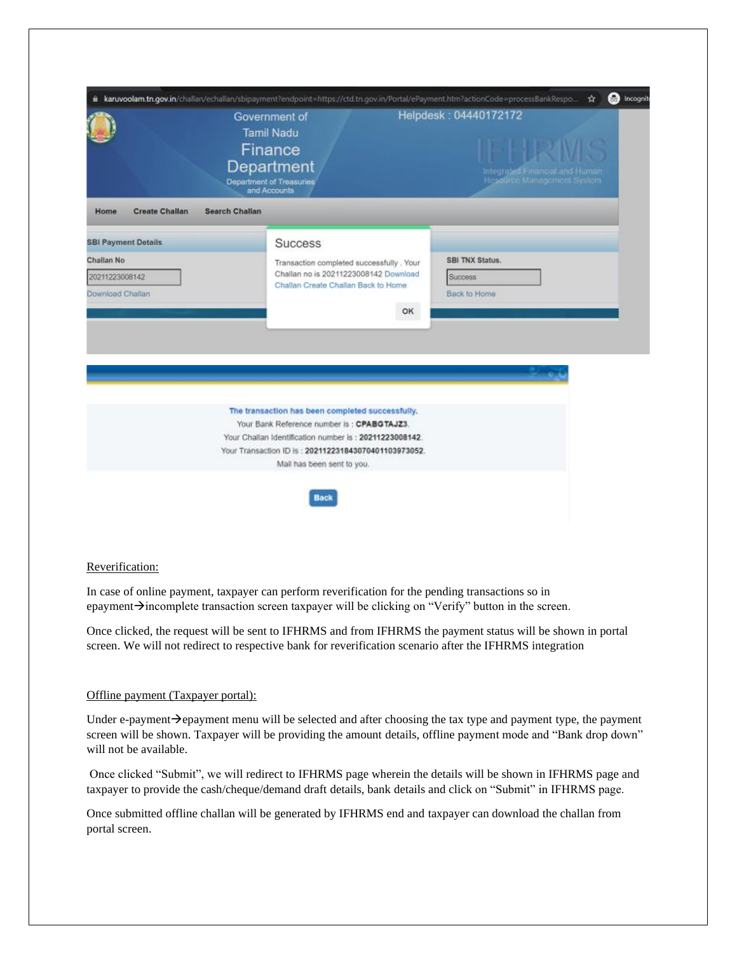|                                                                                | Government of<br><b>Tamil Nadu</b><br>Finance<br>Department<br><b>Department of Treasuries</b><br>and Accounts                                                                                                                                    | Helpdesk: 04440172172<br>IFHRMS<br>Integrated Financial and Human<br>Resource Management System |
|--------------------------------------------------------------------------------|---------------------------------------------------------------------------------------------------------------------------------------------------------------------------------------------------------------------------------------------------|-------------------------------------------------------------------------------------------------|
| <b>Create Challan</b><br>Home                                                  | <b>Search Challan</b>                                                                                                                                                                                                                             |                                                                                                 |
| <b>SBI Payment Details</b><br>Challan No<br>20211223008142<br>Download Challan | <b>Success</b><br>Transaction completed successfully . Your<br>Challan no is 20211223008142 Download<br>Challan Create Challan Back to Home<br>OK                                                                                                 | SBI TNX Status.<br>Success<br>Back to Home                                                      |
|                                                                                | The transaction has been completed successfully.<br>Your Bank Reference number is : CPABGTAJZ3.<br>Your Challan Identification number is : 20211223008142.<br>Your Transaction ID is : 202112231843070401103973052.<br>Mail has been sent to you. |                                                                                                 |

## Reverification:

In case of online payment, taxpayer can perform reverification for the pending transactions so in epayment→incomplete transaction screen taxpayer will be clicking on "Verify" button in the screen.

Once clicked, the request will be sent to IFHRMS and from IFHRMS the payment status will be shown in portal screen. We will not redirect to respective bank for reverification scenario after the IFHRMS integration

## Offline payment (Taxpayer portal):

Under e-payment→epayment menu will be selected and after choosing the tax type and payment type, the payment screen will be shown. Taxpayer will be providing the amount details, offline payment mode and "Bank drop down" will not be available.

Once clicked "Submit", we will redirect to IFHRMS page wherein the details will be shown in IFHRMS page and taxpayer to provide the cash/cheque/demand draft details, bank details and click on "Submit" in IFHRMS page.

Once submitted offline challan will be generated by IFHRMS end and taxpayer can download the challan from portal screen.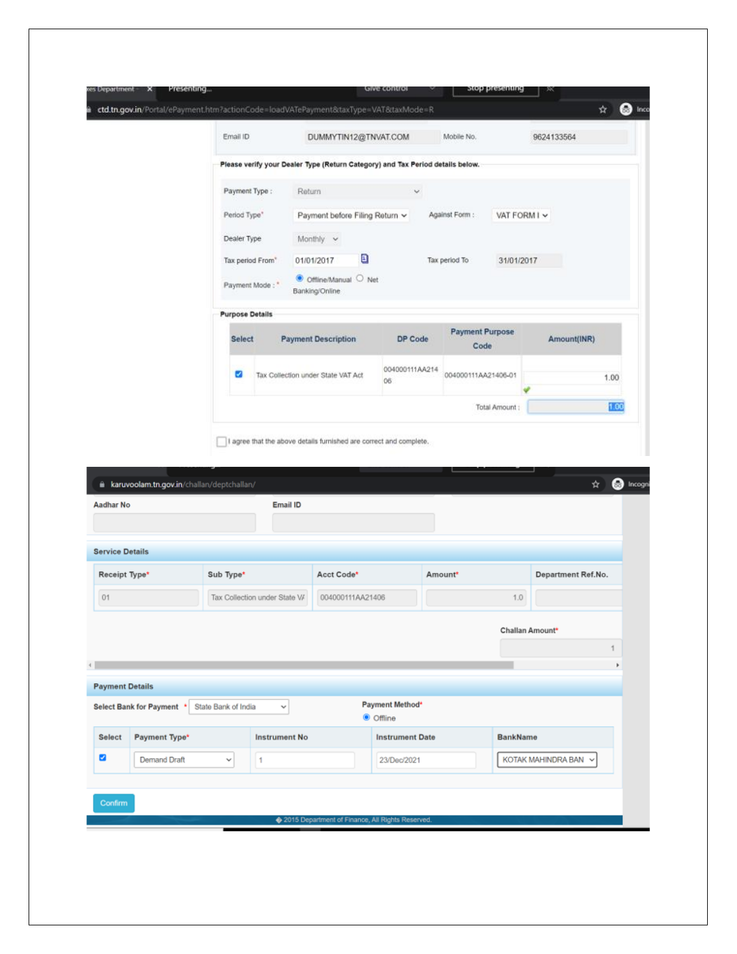|                                     |                                             | Email ID               |                               | DUMMYTIN12@TNVAT.COM                                               |                                                                                | Mobile No.                     |                 | 9624133564                        |
|-------------------------------------|---------------------------------------------|------------------------|-------------------------------|--------------------------------------------------------------------|--------------------------------------------------------------------------------|--------------------------------|-----------------|-----------------------------------|
|                                     |                                             |                        |                               |                                                                    | Please verify your Dealer Type (Return Category) and Tax Period details below. |                                |                 |                                   |
|                                     |                                             | Payment Type:          | Return                        |                                                                    | v.                                                                             |                                |                 |                                   |
|                                     |                                             | Period Type"           |                               | Payment before Filing Return ~                                     |                                                                                | Against Form :                 | VAT FORM I V    |                                   |
|                                     |                                             | Dealer Type            |                               | Monthly v                                                          |                                                                                |                                |                 |                                   |
|                                     |                                             |                        | Tax period From*              | Θ<br>01/01/2017                                                    |                                                                                | Tax period To                  | 31/01/2017      |                                   |
|                                     |                                             |                        | Payment Mode:"                | Offline/Manual O Net<br>Banking/Online                             |                                                                                |                                |                 |                                   |
|                                     |                                             | <b>Purpose Details</b> |                               |                                                                    |                                                                                |                                |                 |                                   |
|                                     |                                             | <b>Select</b>          |                               | <b>Payment Description</b>                                         | <b>DP Code</b>                                                                 | <b>Payment Purpose</b><br>Code |                 | Amount(INR)                       |
|                                     |                                             | ø                      |                               | Tax Collection under State VAT Act                                 | 004000111AA214                                                                 | 004000111AA21406-01            |                 |                                   |
|                                     |                                             |                        |                               |                                                                    | O6                                                                             |                                |                 | 1.00                              |
|                                     | i karuvoolam.tn.gov.in/challan/deptchallan/ |                        | Email ID                      | I agree that the above details furnished are correct and complete. |                                                                                | Total Amount:                  |                 | 1.00<br><b>Co</b> ll Incogni<br>☆ |
| Aadhar No<br><b>Service Details</b> |                                             |                        |                               |                                                                    |                                                                                |                                |                 |                                   |
| Receipt Type*                       |                                             | Sub Type*              |                               | Acct Code*                                                         |                                                                                | Amount*                        |                 | Department Ref.No.                |
| 01                                  |                                             |                        | Tax Collection under State V/ | 004000111AA21406                                                   |                                                                                |                                | 1.0             |                                   |
|                                     |                                             |                        |                               |                                                                    |                                                                                |                                | Challan Amount* |                                   |
|                                     |                                             |                        |                               |                                                                    |                                                                                |                                |                 | 1                                 |
| $\leftarrow$                        |                                             |                        |                               |                                                                    |                                                                                |                                |                 | ×                                 |
| <b>Payment Details</b>              |                                             |                        |                               |                                                                    | Payment Method*                                                                |                                |                 |                                   |
|                                     | <b>Select Bank for Payment</b>              | State Bank of India    | $\checkmark$                  |                                                                    | <b>O</b> Offline                                                               |                                |                 |                                   |
| <b>Select</b>                       | Payment Type*                               |                        | <b>Instrument No</b>          |                                                                    | <b>Instrument Date</b>                                                         |                                | <b>BankName</b> |                                   |
| Z                                   | <b>Demand Draft</b>                         | v                      | 1                             |                                                                    | 23/Dec/2021                                                                    |                                |                 | KOTAK MAHINDRA BAN ~              |